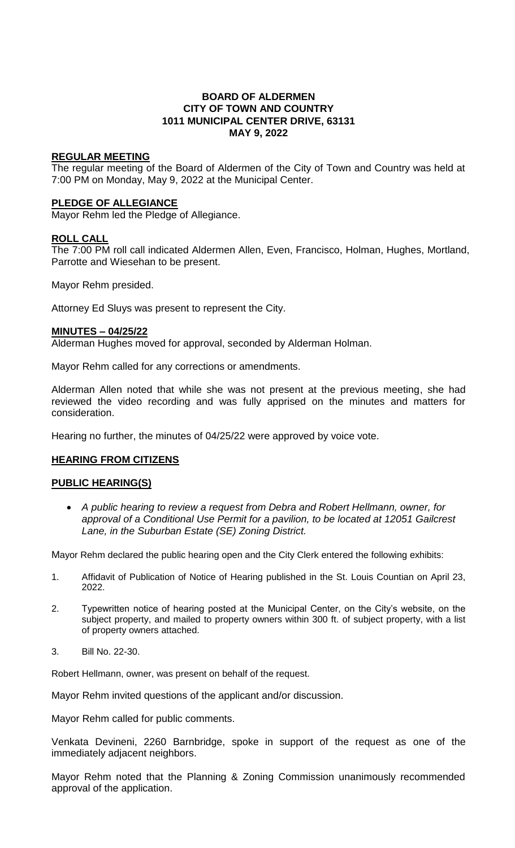## **BOARD OF ALDERMEN CITY OF TOWN AND COUNTRY 1011 MUNICIPAL CENTER DRIVE, 63131 MAY 9, 2022**

## **REGULAR MEETING**

The regular meeting of the Board of Aldermen of the City of Town and Country was held at 7:00 PM on Monday, May 9, 2022 at the Municipal Center.

## **PLEDGE OF ALLEGIANCE**

Mayor Rehm led the Pledge of Allegiance.

# **ROLL CALL**

The 7:00 PM roll call indicated Aldermen Allen, Even, Francisco, Holman, Hughes, Mortland, Parrotte and Wiesehan to be present.

Mayor Rehm presided.

Attorney Ed Sluys was present to represent the City.

## **MINUTES – 04/25/22**

Alderman Hughes moved for approval, seconded by Alderman Holman.

Mayor Rehm called for any corrections or amendments.

Alderman Allen noted that while she was not present at the previous meeting, she had reviewed the video recording and was fully apprised on the minutes and matters for consideration.

Hearing no further, the minutes of 04/25/22 were approved by voice vote.

# **HEARING FROM CITIZENS**

# **PUBLIC HEARING(S)**

 *A public hearing to review a request from Debra and Robert Hellmann, owner, for approval of a Conditional Use Permit for a pavilion, to be located at 12051 Gailcrest Lane, in the Suburban Estate (SE) Zoning District.*

Mayor Rehm declared the public hearing open and the City Clerk entered the following exhibits:

- 1. Affidavit of Publication of Notice of Hearing published in the St. Louis Countian on April 23, 2022.
- 2. Typewritten notice of hearing posted at the Municipal Center, on the City's website, on the subject property, and mailed to property owners within 300 ft. of subject property, with a list of property owners attached.
- 3. Bill No. 22-30.

Robert Hellmann, owner, was present on behalf of the request.

Mayor Rehm invited questions of the applicant and/or discussion.

Mayor Rehm called for public comments.

Venkata Devineni, 2260 Barnbridge, spoke in support of the request as one of the immediately adjacent neighbors.

Mayor Rehm noted that the Planning & Zoning Commission unanimously recommended approval of the application.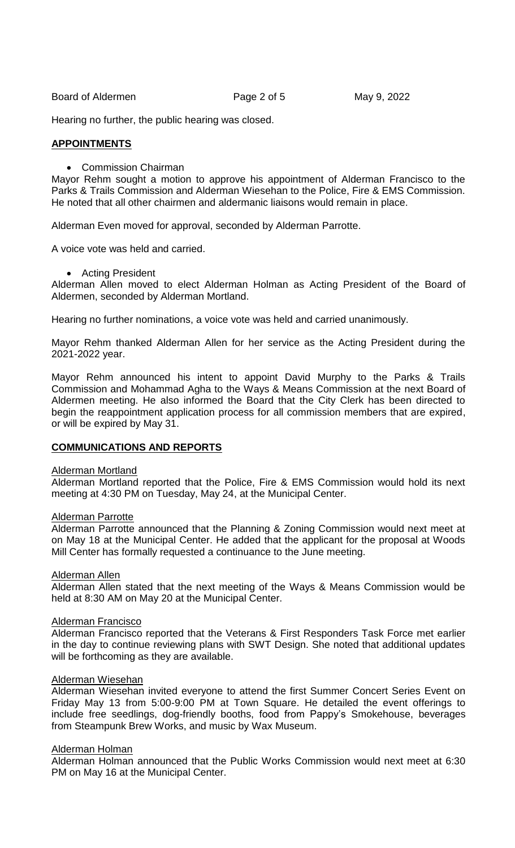Board of Aldermen **Page 2 of 5** May 9, 2022

Hearing no further, the public hearing was closed.

### **APPOINTMENTS**

• Commission Chairman

Mayor Rehm sought a motion to approve his appointment of Alderman Francisco to the Parks & Trails Commission and Alderman Wiesehan to the Police, Fire & EMS Commission. He noted that all other chairmen and aldermanic liaisons would remain in place.

Alderman Even moved for approval, seconded by Alderman Parrotte.

A voice vote was held and carried.

Acting President

Alderman Allen moved to elect Alderman Holman as Acting President of the Board of Aldermen, seconded by Alderman Mortland.

Hearing no further nominations, a voice vote was held and carried unanimously.

Mayor Rehm thanked Alderman Allen for her service as the Acting President during the 2021-2022 year.

Mayor Rehm announced his intent to appoint David Murphy to the Parks & Trails Commission and Mohammad Agha to the Ways & Means Commission at the next Board of Aldermen meeting. He also informed the Board that the City Clerk has been directed to begin the reappointment application process for all commission members that are expired, or will be expired by May 31.

## **COMMUNICATIONS AND REPORTS**

#### Alderman Mortland

Alderman Mortland reported that the Police, Fire & EMS Commission would hold its next meeting at 4:30 PM on Tuesday, May 24, at the Municipal Center.

#### Alderman Parrotte

Alderman Parrotte announced that the Planning & Zoning Commission would next meet at on May 18 at the Municipal Center. He added that the applicant for the proposal at Woods Mill Center has formally requested a continuance to the June meeting.

#### Alderman Allen

Alderman Allen stated that the next meeting of the Ways & Means Commission would be held at 8:30 AM on May 20 at the Municipal Center.

#### Alderman Francisco

Alderman Francisco reported that the Veterans & First Responders Task Force met earlier in the day to continue reviewing plans with SWT Design. She noted that additional updates will be forthcoming as they are available.

#### Alderman Wiesehan

Alderman Wiesehan invited everyone to attend the first Summer Concert Series Event on Friday May 13 from 5:00-9:00 PM at Town Square. He detailed the event offerings to include free seedlings, dog-friendly booths, food from Pappy's Smokehouse, beverages from Steampunk Brew Works, and music by Wax Museum.

#### Alderman Holman

Alderman Holman announced that the Public Works Commission would next meet at 6:30 PM on May 16 at the Municipal Center.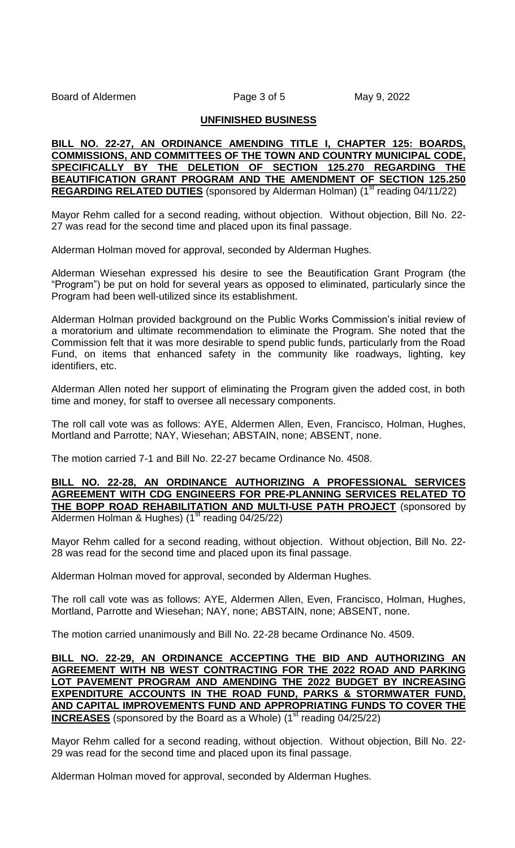## **UNFINISHED BUSINESS**

## **BILL NO. 22-27, AN ORDINANCE AMENDING TITLE I, CHAPTER 125: BOARDS, COMMISSIONS, AND COMMITTEES OF THE TOWN AND COUNTRY MUNICIPAL CODE, SPECIFICALLY BY THE DELETION OF SECTION 125.270 REGARDING THE BEAUTIFICATION GRANT PROGRAM AND THE AMENDMENT OF SECTION 125.250 REGARDING RELATED DUTIES** (sponsored by Alderman Holman) (1<sup>st</sup> reading 04/11/22)

Mayor Rehm called for a second reading, without objection. Without objection, Bill No. 22- 27 was read for the second time and placed upon its final passage.

Alderman Holman moved for approval, seconded by Alderman Hughes.

Alderman Wiesehan expressed his desire to see the Beautification Grant Program (the "Program") be put on hold for several years as opposed to eliminated, particularly since the Program had been well-utilized since its establishment.

Alderman Holman provided background on the Public Works Commission's initial review of a moratorium and ultimate recommendation to eliminate the Program. She noted that the Commission felt that it was more desirable to spend public funds, particularly from the Road Fund, on items that enhanced safety in the community like roadways, lighting, key identifiers, etc.

Alderman Allen noted her support of eliminating the Program given the added cost, in both time and money, for staff to oversee all necessary components.

The roll call vote was as follows: AYE, Aldermen Allen, Even, Francisco, Holman, Hughes, Mortland and Parrotte; NAY, Wiesehan; ABSTAIN, none; ABSENT, none.

The motion carried 7-1 and Bill No. 22-27 became Ordinance No. 4508.

**BILL NO. 22-28, AN ORDINANCE AUTHORIZING A PROFESSIONAL SERVICES AGREEMENT WITH CDG ENGINEERS FOR PRE-PLANNING SERVICES RELATED TO THE BOPP ROAD REHABILITATION AND MULTI-USE PATH PROJECT** (sponsored by Aldermen Holman & Hughes) ( $1<sup>st</sup>$  reading 04/25/22)

Mayor Rehm called for a second reading, without objection. Without objection, Bill No. 22- 28 was read for the second time and placed upon its final passage.

Alderman Holman moved for approval, seconded by Alderman Hughes.

The roll call vote was as follows: AYE, Aldermen Allen, Even, Francisco, Holman, Hughes, Mortland, Parrotte and Wiesehan; NAY, none; ABSTAIN, none; ABSENT, none.

The motion carried unanimously and Bill No. 22-28 became Ordinance No. 4509.

**BILL NO. 22-29, AN ORDINANCE ACCEPTING THE BID AND AUTHORIZING AN AGREEMENT WITH NB WEST CONTRACTING FOR THE 2022 ROAD AND PARKING LOT PAVEMENT PROGRAM AND AMENDING THE 2022 BUDGET BY INCREASING EXPENDITURE ACCOUNTS IN THE ROAD FUND, PARKS & STORMWATER FUND, AND CAPITAL IMPROVEMENTS FUND AND APPROPRIATING FUNDS TO COVER THE INCREASES** (sponsored by the Board as a Whole) (1<sup>st</sup> reading 04/25/22)

Mayor Rehm called for a second reading, without objection. Without objection, Bill No. 22- 29 was read for the second time and placed upon its final passage.

Alderman Holman moved for approval, seconded by Alderman Hughes.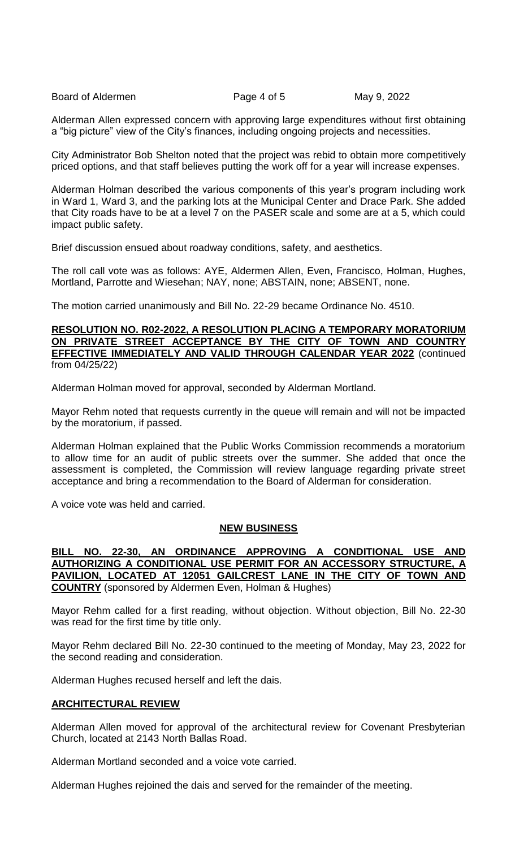Board of Aldermen **Page 4 of 5** May 9, 2022

Alderman Allen expressed concern with approving large expenditures without first obtaining a "big picture" view of the City's finances, including ongoing projects and necessities.

City Administrator Bob Shelton noted that the project was rebid to obtain more competitively priced options, and that staff believes putting the work off for a year will increase expenses.

Alderman Holman described the various components of this year's program including work in Ward 1, Ward 3, and the parking lots at the Municipal Center and Drace Park. She added that City roads have to be at a level 7 on the PASER scale and some are at a 5, which could impact public safety.

Brief discussion ensued about roadway conditions, safety, and aesthetics.

The roll call vote was as follows: AYE, Aldermen Allen, Even, Francisco, Holman, Hughes, Mortland, Parrotte and Wiesehan; NAY, none; ABSTAIN, none; ABSENT, none.

The motion carried unanimously and Bill No. 22-29 became Ordinance No. 4510.

## **RESOLUTION NO. R02-2022, A RESOLUTION PLACING A TEMPORARY MORATORIUM ON PRIVATE STREET ACCEPTANCE BY THE CITY OF TOWN AND COUNTRY EFFECTIVE IMMEDIATELY AND VALID THROUGH CALENDAR YEAR 2022** (continued from 04/25/22)

Alderman Holman moved for approval, seconded by Alderman Mortland.

Mayor Rehm noted that requests currently in the queue will remain and will not be impacted by the moratorium, if passed.

Alderman Holman explained that the Public Works Commission recommends a moratorium to allow time for an audit of public streets over the summer. She added that once the assessment is completed, the Commission will review language regarding private street acceptance and bring a recommendation to the Board of Alderman for consideration.

A voice vote was held and carried.

# **NEW BUSINESS**

**BILL NO. 22-30, AN ORDINANCE APPROVING A CONDITIONAL USE AND AUTHORIZING A CONDITIONAL USE PERMIT FOR AN ACCESSORY STRUCTURE, A PAVILION, LOCATED AT 12051 GAILCREST LANE IN THE CITY OF TOWN AND COUNTRY** (sponsored by Aldermen Even, Holman & Hughes)

Mayor Rehm called for a first reading, without objection. Without objection, Bill No. 22-30 was read for the first time by title only.

Mayor Rehm declared Bill No. 22-30 continued to the meeting of Monday, May 23, 2022 for the second reading and consideration.

Alderman Hughes recused herself and left the dais.

# **ARCHITECTURAL REVIEW**

Alderman Allen moved for approval of the architectural review for Covenant Presbyterian Church, located at 2143 North Ballas Road.

Alderman Mortland seconded and a voice vote carried.

Alderman Hughes rejoined the dais and served for the remainder of the meeting.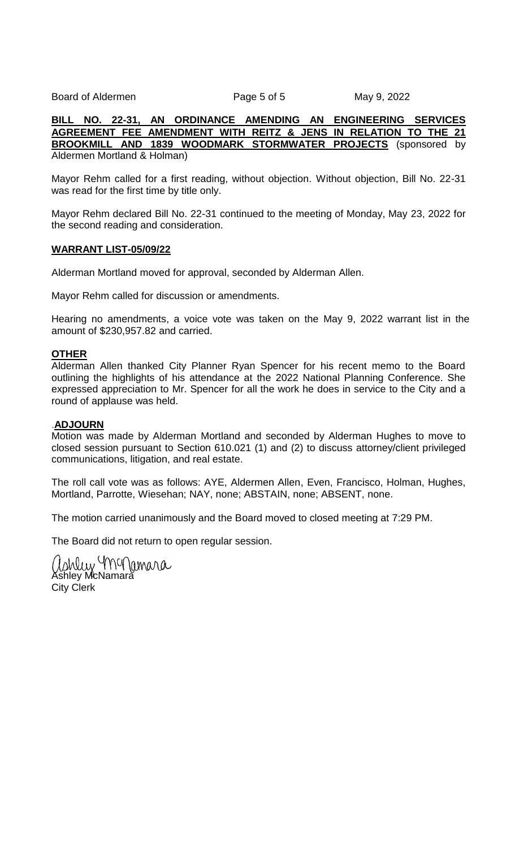Board of Aldermen **Page 5 of 5** May 9, 2022

**BILL NO. 22-31, AN ORDINANCE AMENDING AN ENGINEERING SERVICES AGREEMENT FEE AMENDMENT WITH REITZ & JENS IN RELATION TO THE 21 BROOKMILL AND 1839 WOODMARK STORMWATER PROJECTS** (sponsored by Aldermen Mortland & Holman)

Mayor Rehm called for a first reading, without objection. Without objection, Bill No. 22-31 was read for the first time by title only.

Mayor Rehm declared Bill No. 22-31 continued to the meeting of Monday, May 23, 2022 for the second reading and consideration.

### **WARRANT LIST-05/09/22**

Alderman Mortland moved for approval, seconded by Alderman Allen.

Mayor Rehm called for discussion or amendments.

Hearing no amendments, a voice vote was taken on the May 9, 2022 warrant list in the amount of \$230,957.82 and carried.

## **OTHER**

Alderman Allen thanked City Planner Ryan Spencer for his recent memo to the Board outlining the highlights of his attendance at the 2022 National Planning Conference. She expressed appreciation to Mr. Spencer for all the work he does in service to the City and a round of applause was held.

## .**ADJOURN**

Motion was made by Alderman Mortland and seconded by Alderman Hughes to move to closed session pursuant to Section 610.021 (1) and (2) to discuss attorney/client privileged communications, litigation, and real estate.

The roll call vote was as follows: AYE, Aldermen Allen, Even, Francisco, Holman, Hughes, Mortland, Parrotte, Wiesehan; NAY, none; ABSTAIN, none; ABSENT, none.

The motion carried unanimously and the Board moved to closed meeting at 7:29 PM.

The Board did not return to open regular session.

ashley MMMamara City Clerk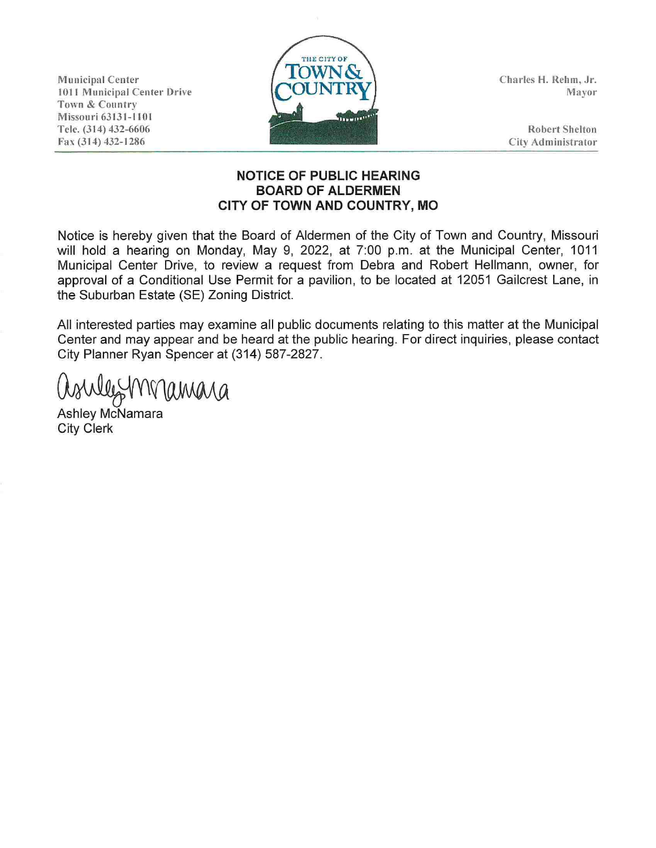Municipal Center 1011 Municipal Center Drive Town & Country Missouri 63131-1101 Tele. (314) 432-6606 Fax (314) 432-1286



Charles **H.** Rehm, Jr. Mayor

Robert Shelton City Administrator

## **NOTICE OF PUBLIC HEARING BOARD OF ALDERMEN CITY OF TOWN AND COUNTRY, MO**

Notice is hereby given that the Board of Aldermen of the City of Town and Country, Missouri will hold a hearing on Monday, May 9, 2022, at 7:00 p.m. at the Municipal Center, 1011 Municipal Center Drive, to review a request from Debra and Robert Hellmann, owner, for approval of a Conditional Use Permit for a pavilion, to be located at 12051 Gailcrest Lane, in the Suburban Estate (SE) Zoning District.

All interested parties may examine all public documents relating to this matter at the Municipal Center and may appear and be heard at the public hearing. For direct inquiries, please contact City Planner Ryan Spencer at (314) 587-2827.

Workley 1 W lamara

Ashley McNamara City Clerk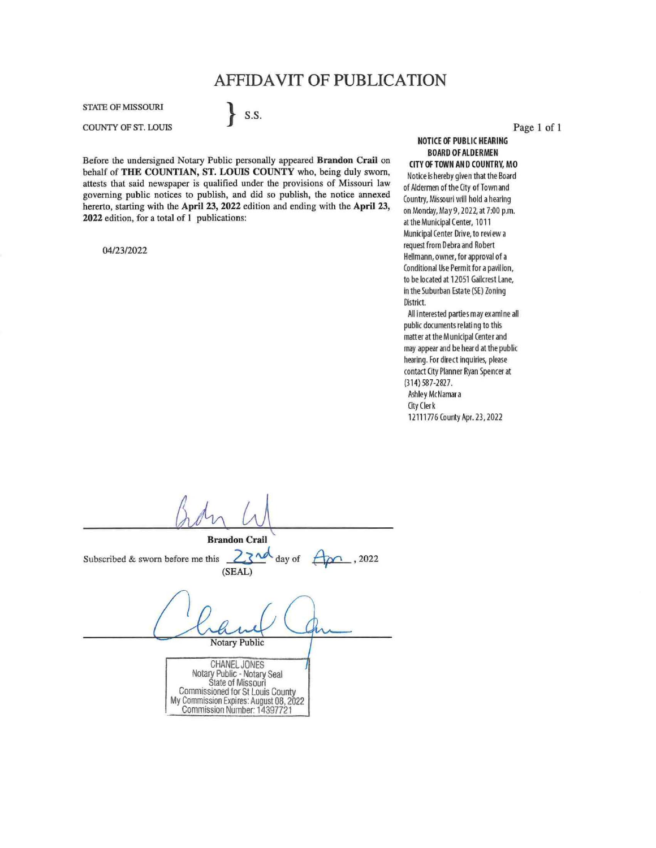# **AFFIDAVIT OF PUBLICATION**

STATE OF MISSOURI

COUNTY OF ST. LOUIS

Before the undersigned Notary Public personally appeared **Brandon Crail** on behalf of **THE COUNTIAN, ST. LOUIS COUNTY** who, being duly sworn, attests that said newspaper is qualified under the provisions of Missouri law governing public notices to publish, and did so publish, the notice annexed hererto, starting with the **April 23, 2022** edition and ending with the **April 23, 2022** edition, for a total of I publications:

} S.S.

04/23/2022

Page 1 of **1** 

**NOTICE OF PUBLIC HEARING BOARD OF ALDERMEN CITY OF TOWN AND COUNTRY, MO**  Notice is hereby given that the Board of Aldermen of the City of Town and Country, Missouri will hold a hearing on Monday, May 9, 2022, at 7:00 p.m. at the Municipal Center, 1011 Municipal Center Drive, to review a request from Debra and Robert Hellmann, owner, for approval of a Conditional Use Permit for a pavilion, to be located at 12051 Gailcrest Lane, in the SUburban Estate (SE) Zoning District. All interested parties may examine all public documents relating to this

matter at the Municipal Center and may appear and be heard at the public hearing. For direct inquiries, please contact City Planner Ryan Spencer at (314) 587-2827. Ashley McNamara City Clerk 12111776 County Apr. 23, 2022

**Brandon Crail**  Subscribed & sworn before me this  $2\overline{\phantom{a}}$  day of  $\overline{\phantom{a}}$  , 2022 (SEAL) Notary Public CHANEL JONES Notary Public - Notary Seal State of Missouri Commissioned for St Louis County My Commission Expires: August 08, 2022 Commission Number: 14397721